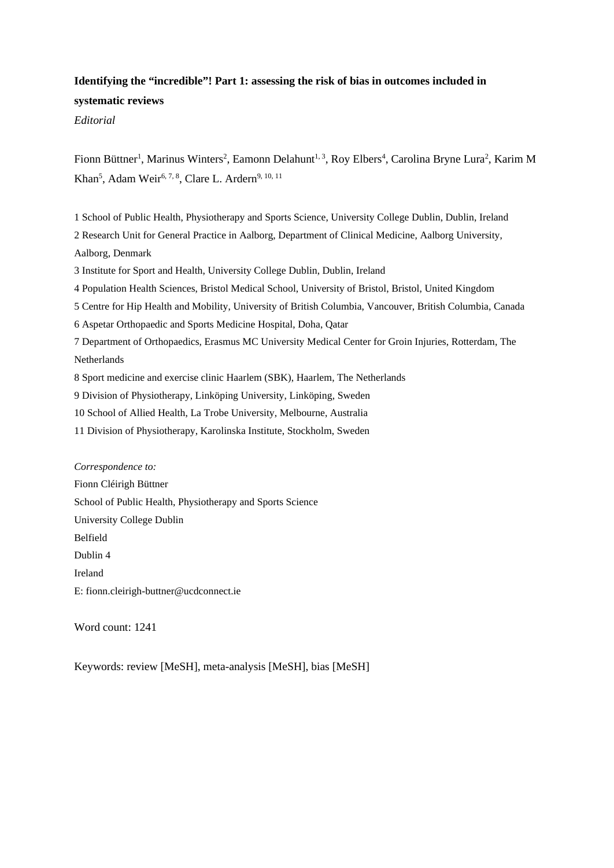### **Identifying the "incredible"! Part 1: assessing the risk of bias in outcomes included in systematic reviews**

*Editorial*

Fionn Büttner<sup>1</sup>, Marinus Winters<sup>2</sup>, Eamonn Delahunt<sup>1, 3</sup>, Roy Elbers<sup>4</sup>, Carolina Bryne Lura<sup>2</sup>, Karim M Khan<sup>5</sup>, Adam Weir<sup>6, 7, 8</sup>, Clare L. Ardern<sup>9, 10, 11</sup>

1 School of Public Health, Physiotherapy and Sports Science, University College Dublin, Dublin, Ireland 2 Research Unit for General Practice in Aalborg, Department of Clinical Medicine, Aalborg University, Aalborg, Denmark 3 Institute for Sport and Health, University College Dublin, Dublin, Ireland 4 Population Health Sciences, Bristol Medical School, University of Bristol, Bristol, United Kingdom 5 Centre for Hip Health and Mobility, University of British Columbia, Vancouver, British Columbia, Canada 6 Aspetar Orthopaedic and Sports Medicine Hospital, Doha, Qatar 7 Department of Orthopaedics, Erasmus MC University Medical Center for Groin Injuries, Rotterdam, The Netherlands 8 Sport medicine and exercise clinic Haarlem (SBK), Haarlem, The Netherlands 9 Division of Physiotherapy, Linköping University, Linköping, Sweden 10 School of Allied Health, La Trobe University, Melbourne, Australia

11 Division of Physiotherapy, Karolinska Institute, Stockholm, Sweden

*Correspondence to:* Fionn Cléirigh Büttner School of Public Health, Physiotherapy and Sports Science University College Dublin Belfield Dublin 4 Ireland E: fionn.cleirigh-buttner@ucdconnect.ie

Word count: 1241

Keywords: review [MeSH], meta-analysis [MeSH], bias [MeSH]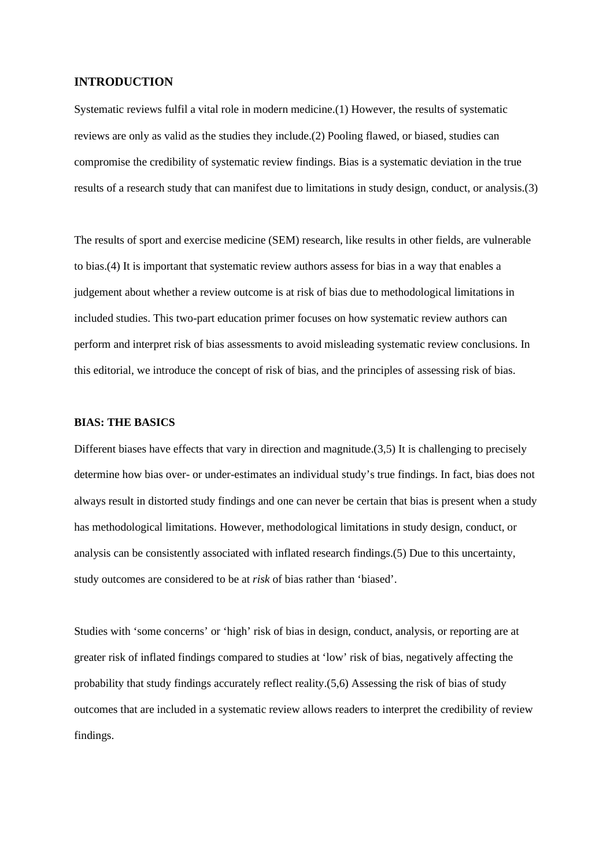### **INTRODUCTION**

Systematic reviews fulfil a vital role in modern medicine.(1) However, the results of systematic reviews are only as valid as the studies they include.(2) Pooling flawed, or biased, studies can compromise the credibility of systematic review findings. Bias is a systematic deviation in the true results of a research study that can manifest due to limitations in study design, conduct, or analysis.(3)

The results of sport and exercise medicine (SEM) research, like results in other fields, are vulnerable to bias.(4) It is important that systematic review authors assess for bias in a way that enables a judgement about whether a review outcome is at risk of bias due to methodological limitations in included studies. This two-part education primer focuses on how systematic review authors can perform and interpret risk of bias assessments to avoid misleading systematic review conclusions. In this editorial, we introduce the concept of risk of bias, and the principles of assessing risk of bias.

### **BIAS: THE BASICS**

Different biases have effects that vary in direction and magnitude.(3,5) It is challenging to precisely determine how bias over- or under-estimates an individual study's true findings. In fact, bias does not always result in distorted study findings and one can never be certain that bias is present when a study has methodological limitations. However, methodological limitations in study design, conduct, or analysis can be consistently associated with inflated research findings.(5) Due to this uncertainty, study outcomes are considered to be at *risk* of bias rather than 'biased'.

Studies with 'some concerns' or 'high' risk of bias in design, conduct, analysis, or reporting are at greater risk of inflated findings compared to studies at 'low' risk of bias, negatively affecting the probability that study findings accurately reflect reality.(5,6) Assessing the risk of bias of study outcomes that are included in a systematic review allows readers to interpret the credibility of review findings.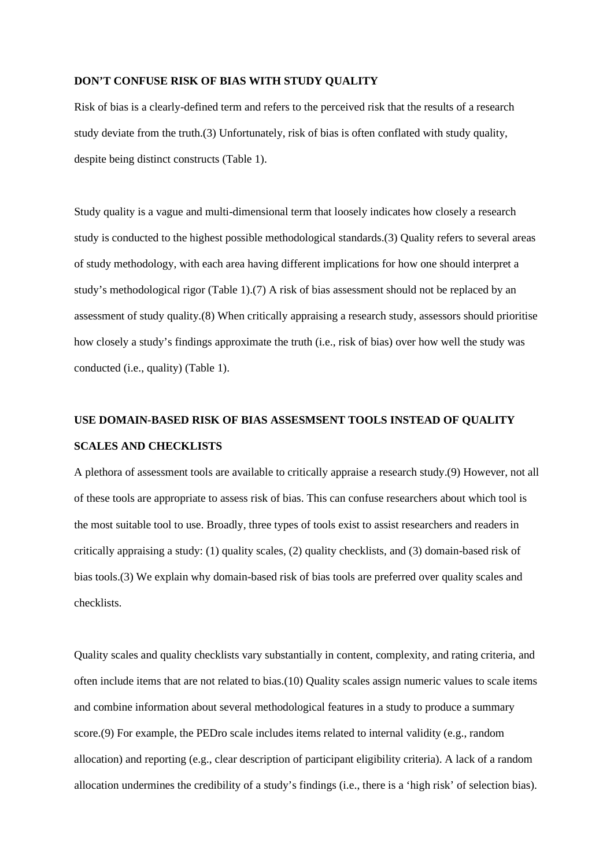#### **DON'T CONFUSE RISK OF BIAS WITH STUDY QUALITY**

Risk of bias is a clearly-defined term and refers to the perceived risk that the results of a research study deviate from the truth.(3) Unfortunately, risk of bias is often conflated with study quality, despite being distinct constructs (Table 1).

Study quality is a vague and multi-dimensional term that loosely indicates how closely a research study is conducted to the highest possible methodological standards.(3) Quality refers to several areas of study methodology, with each area having different implications for how one should interpret a study's methodological rigor (Table 1).(7) A risk of bias assessment should not be replaced by an assessment of study quality.(8) When critically appraising a research study, assessors should prioritise how closely a study's findings approximate the truth (i.e., risk of bias) over how well the study was conducted (i.e., quality) (Table 1).

# **USE DOMAIN-BASED RISK OF BIAS ASSESMSENT TOOLS INSTEAD OF QUALITY SCALES AND CHECKLISTS**

A plethora of assessment tools are available to critically appraise a research study.(9) However, not all of these tools are appropriate to assess risk of bias. This can confuse researchers about which tool is the most suitable tool to use. Broadly, three types of tools exist to assist researchers and readers in critically appraising a study: (1) quality scales, (2) quality checklists, and (3) domain-based risk of bias tools.(3) We explain why domain-based risk of bias tools are preferred over quality scales and checklists.

Quality scales and quality checklists vary substantially in content, complexity, and rating criteria, and often include items that are not related to bias.(10) Quality scales assign numeric values to scale items and combine information about several methodological features in a study to produce a summary score.(9) For example, the PEDro scale includes items related to internal validity (e.g., random allocation) and reporting (e.g., clear description of participant eligibility criteria). A lack of a random allocation undermines the credibility of a study's findings (i.e., there is a 'high risk' of selection bias).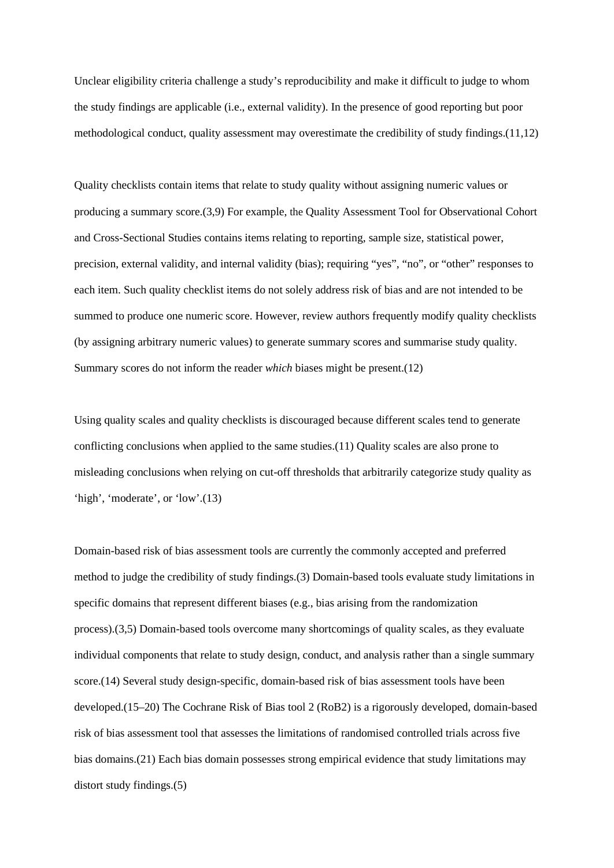Unclear eligibility criteria challenge a study's reproducibility and make it difficult to judge to whom the study findings are applicable (i.e., external validity). In the presence of good reporting but poor methodological conduct, quality assessment may overestimate the credibility of study findings.(11,12)

Quality checklists contain items that relate to study quality without assigning numeric values or producing a summary score.(3,9) For example, the Quality Assessment Tool for Observational Cohort and Cross-Sectional Studies contains items relating to reporting, sample size, statistical power, precision, external validity, and internal validity (bias); requiring "yes", "no", or "other" responses to each item. Such quality checklist items do not solely address risk of bias and are not intended to be summed to produce one numeric score. However, review authors frequently modify quality checklists (by assigning arbitrary numeric values) to generate summary scores and summarise study quality. Summary scores do not inform the reader *which* biases might be present.(12)

Using quality scales and quality checklists is discouraged because different scales tend to generate conflicting conclusions when applied to the same studies.(11) Quality scales are also prone to misleading conclusions when relying on cut-off thresholds that arbitrarily categorize study quality as 'high', 'moderate', or 'low'.(13)

Domain-based risk of bias assessment tools are currently the commonly accepted and preferred method to judge the credibility of study findings.(3) Domain-based tools evaluate study limitations in specific domains that represent different biases (e.g., bias arising from the randomization process).(3,5) Domain-based tools overcome many shortcomings of quality scales, as they evaluate individual components that relate to study design, conduct, and analysis rather than a single summary score.(14) Several study design-specific, domain-based risk of bias assessment tools have been developed.(15–20) The Cochrane Risk of Bias tool 2 (RoB2) is a rigorously developed, domain-based risk of bias assessment tool that assesses the limitations of randomised controlled trials across five bias domains.(21) Each bias domain possesses strong empirical evidence that study limitations may distort study findings.(5)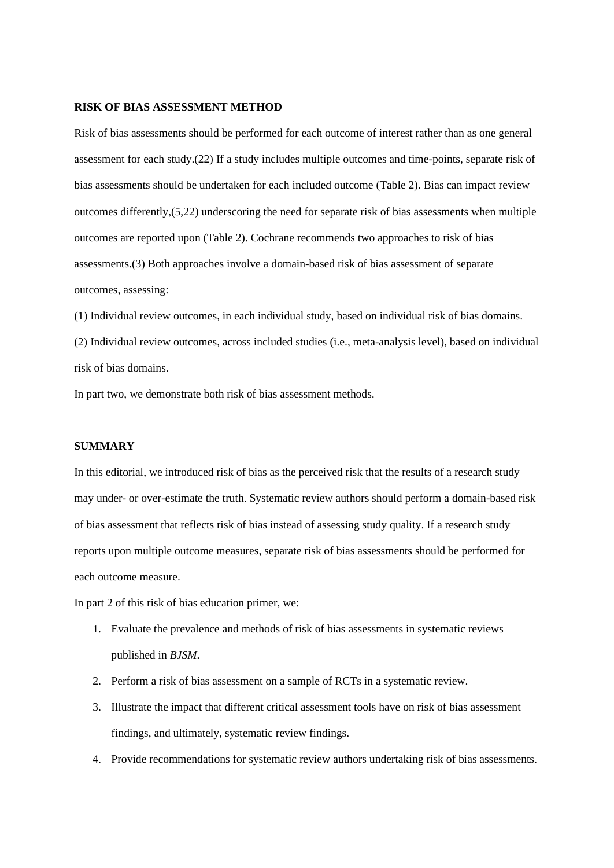#### **RISK OF BIAS ASSESSMENT METHOD**

Risk of bias assessments should be performed for each outcome of interest rather than as one general assessment for each study.(22) If a study includes multiple outcomes and time-points, separate risk of bias assessments should be undertaken for each included outcome (Table 2). Bias can impact review outcomes differently,(5,22) underscoring the need for separate risk of bias assessments when multiple outcomes are reported upon (Table 2). Cochrane recommends two approaches to risk of bias assessments.(3) Both approaches involve a domain-based risk of bias assessment of separate outcomes, assessing:

(1) Individual review outcomes, in each individual study, based on individual risk of bias domains.

(2) Individual review outcomes, across included studies (i.e., meta-analysis level), based on individual risk of bias domains.

In part two, we demonstrate both risk of bias assessment methods.

#### **SUMMARY**

In this editorial, we introduced risk of bias as the perceived risk that the results of a research study may under- or over-estimate the truth. Systematic review authors should perform a domain-based risk of bias assessment that reflects risk of bias instead of assessing study quality. If a research study reports upon multiple outcome measures, separate risk of bias assessments should be performed for each outcome measure.

In part 2 of this risk of bias education primer, we:

- 1. Evaluate the prevalence and methods of risk of bias assessments in systematic reviews published in *BJSM*.
- 2. Perform a risk of bias assessment on a sample of RCTs in a systematic review.
- 3. Illustrate the impact that different critical assessment tools have on risk of bias assessment findings, and ultimately, systematic review findings.
- 4. Provide recommendations for systematic review authors undertaking risk of bias assessments.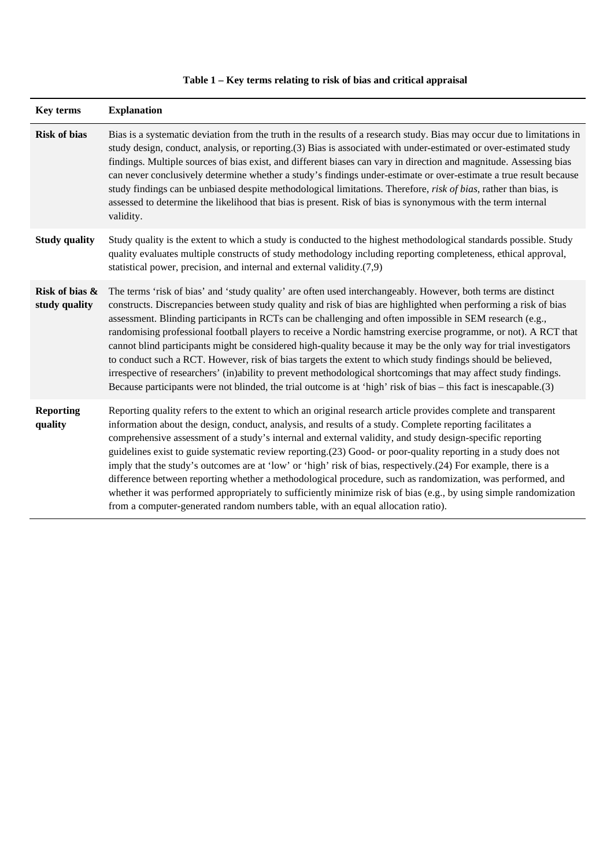| Key terms                       | <b>Explanation</b>                                                                                                                                                                                                                                                                                                                                                                                                                                                                                                                                                                                                                                                                                                                                                                                                                                                                                                                          |
|---------------------------------|---------------------------------------------------------------------------------------------------------------------------------------------------------------------------------------------------------------------------------------------------------------------------------------------------------------------------------------------------------------------------------------------------------------------------------------------------------------------------------------------------------------------------------------------------------------------------------------------------------------------------------------------------------------------------------------------------------------------------------------------------------------------------------------------------------------------------------------------------------------------------------------------------------------------------------------------|
| <b>Risk of bias</b>             | Bias is a systematic deviation from the truth in the results of a research study. Bias may occur due to limitations in<br>study design, conduct, analysis, or reporting.(3) Bias is associated with under-estimated or over-estimated study<br>findings. Multiple sources of bias exist, and different biases can vary in direction and magnitude. Assessing bias<br>can never conclusively determine whether a study's findings under-estimate or over-estimate a true result because<br>study findings can be unbiased despite methodological limitations. Therefore, risk of bias, rather than bias, is<br>assessed to determine the likelihood that bias is present. Risk of bias is synonymous with the term internal<br>validity.                                                                                                                                                                                                     |
| <b>Study quality</b>            | Study quality is the extent to which a study is conducted to the highest methodological standards possible. Study<br>quality evaluates multiple constructs of study methodology including reporting completeness, ethical approval,<br>statistical power, precision, and internal and external validity.(7,9)                                                                                                                                                                                                                                                                                                                                                                                                                                                                                                                                                                                                                               |
| Risk of bias &<br>study quality | The terms 'risk of bias' and 'study quality' are often used interchangeably. However, both terms are distinct<br>constructs. Discrepancies between study quality and risk of bias are highlighted when performing a risk of bias<br>assessment. Blinding participants in RCTs can be challenging and often impossible in SEM research (e.g.,<br>randomising professional football players to receive a Nordic hamstring exercise programme, or not). A RCT that<br>cannot blind participants might be considered high-quality because it may be the only way for trial investigators<br>to conduct such a RCT. However, risk of bias targets the extent to which study findings should be believed,<br>irrespective of researchers' (in)ability to prevent methodological shortcomings that may affect study findings.<br>Because participants were not blinded, the trial outcome is at 'high' risk of bias – this fact is inescapable.(3) |
| <b>Reporting</b><br>quality     | Reporting quality refers to the extent to which an original research article provides complete and transparent<br>information about the design, conduct, analysis, and results of a study. Complete reporting facilitates a<br>comprehensive assessment of a study's internal and external validity, and study design-specific reporting<br>guidelines exist to guide systematic review reporting.(23) Good- or poor-quality reporting in a study does not<br>imply that the study's outcomes are at 'low' or 'high' risk of bias, respectively.(24) For example, there is a<br>difference between reporting whether a methodological procedure, such as randomization, was performed, and<br>whether it was performed appropriately to sufficiently minimize risk of bias (e.g., by using simple randomization<br>from a computer-generated random numbers table, with an equal allocation ratio).                                         |

# **Table 1 – Key terms relating to risk of bias and critical appraisal**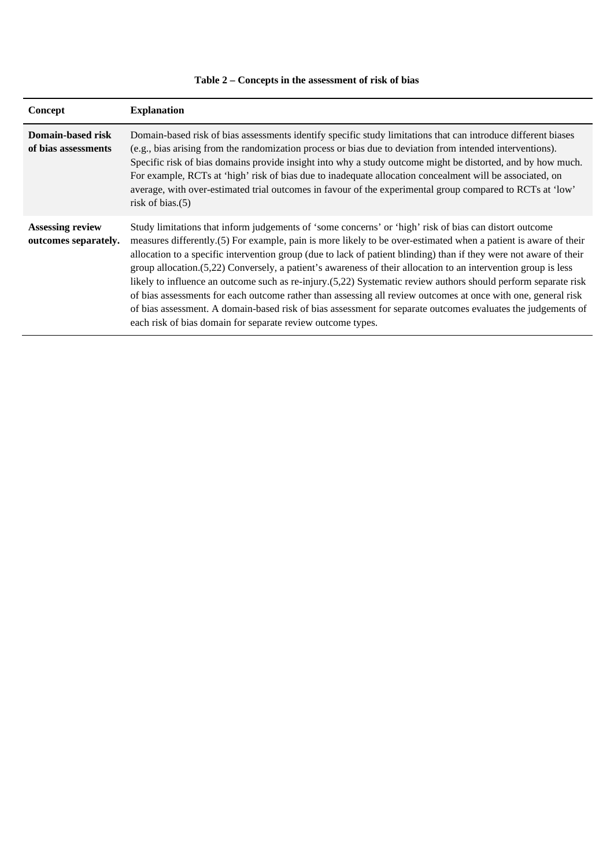| Concept                                         | <b>Explanation</b>                                                                                                                                                                                                                                                                                                                                                                                                                                                                                                                                                                                                                                                                                                                                                                                                                                                                  |
|-------------------------------------------------|-------------------------------------------------------------------------------------------------------------------------------------------------------------------------------------------------------------------------------------------------------------------------------------------------------------------------------------------------------------------------------------------------------------------------------------------------------------------------------------------------------------------------------------------------------------------------------------------------------------------------------------------------------------------------------------------------------------------------------------------------------------------------------------------------------------------------------------------------------------------------------------|
| Domain-based risk<br>of bias assessments        | Domain-based risk of bias assessments identify specific study limitations that can introduce different biases<br>(e.g., bias arising from the randomization process or bias due to deviation from intended interventions).<br>Specific risk of bias domains provide insight into why a study outcome might be distorted, and by how much.<br>For example, RCTs at 'high' risk of bias due to inadequate allocation concealment will be associated, on<br>average, with over-estimated trial outcomes in favour of the experimental group compared to RCTs at 'low'<br>risk of bias. $(5)$                                                                                                                                                                                                                                                                                           |
| <b>Assessing review</b><br>outcomes separately. | Study limitations that inform judgements of 'some concerns' or 'high' risk of bias can distort outcome<br>measures differently.(5) For example, pain is more likely to be over-estimated when a patient is aware of their<br>allocation to a specific intervention group (due to lack of patient blinding) than if they were not aware of their<br>group allocation.(5,22) Conversely, a patient's awareness of their allocation to an intervention group is less<br>likely to influence an outcome such as re-injury.(5,22) Systematic review authors should perform separate risk<br>of bias assessments for each outcome rather than assessing all review outcomes at once with one, general risk<br>of bias assessment. A domain-based risk of bias assessment for separate outcomes evaluates the judgements of<br>each risk of bias domain for separate review outcome types. |

# **Table 2 – Concepts in the assessment of risk of bias**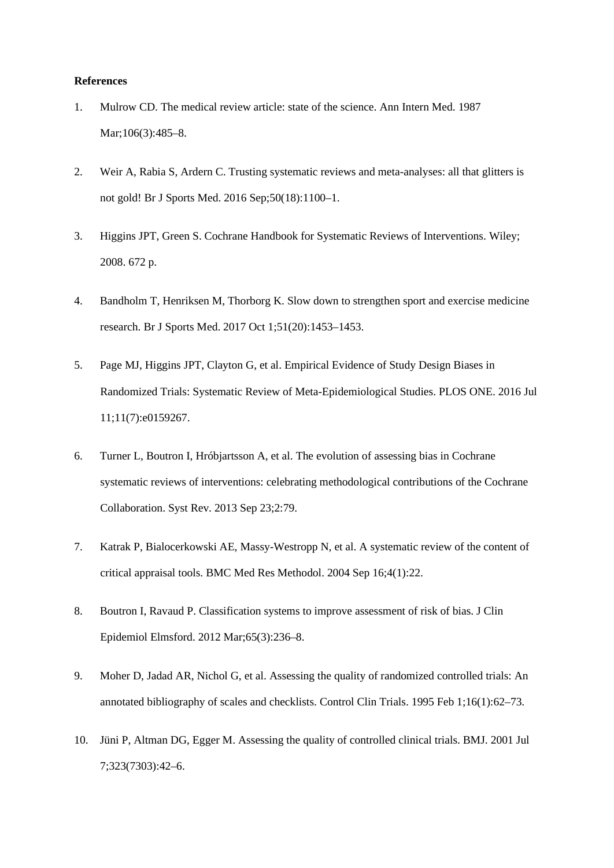#### **References**

- 1. Mulrow CD. The medical review article: state of the science. Ann Intern Med. 1987 Mar:106(3):485–8.
- 2. Weir A, Rabia S, Ardern C. Trusting systematic reviews and meta-analyses: all that glitters is not gold! Br J Sports Med. 2016 Sep;50(18):1100–1.
- 3. Higgins JPT, Green S. Cochrane Handbook for Systematic Reviews of Interventions. Wiley; 2008. 672 p.
- 4. Bandholm T, Henriksen M, Thorborg K. Slow down to strengthen sport and exercise medicine research. Br J Sports Med. 2017 Oct 1;51(20):1453–1453.
- 5. Page MJ, Higgins JPT, Clayton G, et al. Empirical Evidence of Study Design Biases in Randomized Trials: Systematic Review of Meta-Epidemiological Studies. PLOS ONE. 2016 Jul 11;11(7):e0159267.
- 6. Turner L, Boutron I, Hróbjartsson A, et al. The evolution of assessing bias in Cochrane systematic reviews of interventions: celebrating methodological contributions of the Cochrane Collaboration. Syst Rev. 2013 Sep 23;2:79.
- 7. Katrak P, Bialocerkowski AE, Massy-Westropp N, et al. A systematic review of the content of critical appraisal tools. BMC Med Res Methodol. 2004 Sep 16;4(1):22.
- 8. Boutron I, Ravaud P. Classification systems to improve assessment of risk of bias. J Clin Epidemiol Elmsford. 2012 Mar;65(3):236–8.
- 9. Moher D, Jadad AR, Nichol G, et al. Assessing the quality of randomized controlled trials: An annotated bibliography of scales and checklists. Control Clin Trials. 1995 Feb 1;16(1):62–73.
- 10. Jüni P, Altman DG, Egger M. Assessing the quality of controlled clinical trials. BMJ. 2001 Jul 7;323(7303):42–6.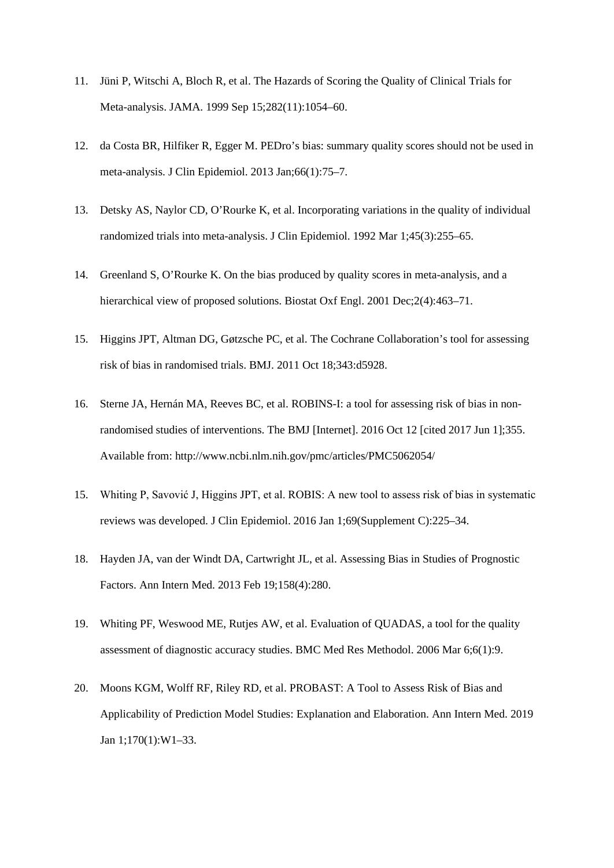- 11. Jüni P, Witschi A, Bloch R, et al. The Hazards of Scoring the Quality of Clinical Trials for Meta-analysis. JAMA. 1999 Sep 15;282(11):1054–60.
- 12. da Costa BR, Hilfiker R, Egger M. PEDro's bias: summary quality scores should not be used in meta-analysis. J Clin Epidemiol. 2013 Jan;66(1):75–7.
- 13. Detsky AS, Naylor CD, O'Rourke K, et al. Incorporating variations in the quality of individual randomized trials into meta-analysis. J Clin Epidemiol. 1992 Mar 1;45(3):255–65.
- 14. Greenland S, O'Rourke K. On the bias produced by quality scores in meta-analysis, and a hierarchical view of proposed solutions. Biostat Oxf Engl. 2001 Dec; 2(4): 463–71.
- 15. Higgins JPT, Altman DG, Gøtzsche PC, et al. The Cochrane Collaboration's tool for assessing risk of bias in randomised trials. BMJ. 2011 Oct 18;343:d5928.
- 16. Sterne JA, Hernán MA, Reeves BC, et al. ROBINS-I: a tool for assessing risk of bias in nonrandomised studies of interventions. The BMJ [Internet]. 2016 Oct 12 [cited 2017 Jun 1];355. Available from: http://www.ncbi.nlm.nih.gov/pmc/articles/PMC5062054/
- 15. Whiting P, Savović J, Higgins JPT, et al. ROBIS: A new tool to assess risk of bias in systematic reviews was developed. J Clin Epidemiol. 2016 Jan 1;69(Supplement C):225–34.
- 18. Hayden JA, van der Windt DA, Cartwright JL, et al. Assessing Bias in Studies of Prognostic Factors. Ann Intern Med. 2013 Feb 19;158(4):280.
- 19. Whiting PF, Weswood ME, Rutjes AW, et al. Evaluation of QUADAS, a tool for the quality assessment of diagnostic accuracy studies. BMC Med Res Methodol. 2006 Mar 6;6(1):9.
- 20. Moons KGM, Wolff RF, Riley RD, et al. PROBAST: A Tool to Assess Risk of Bias and Applicability of Prediction Model Studies: Explanation and Elaboration. Ann Intern Med. 2019 Jan 1;170(1):W1–33.